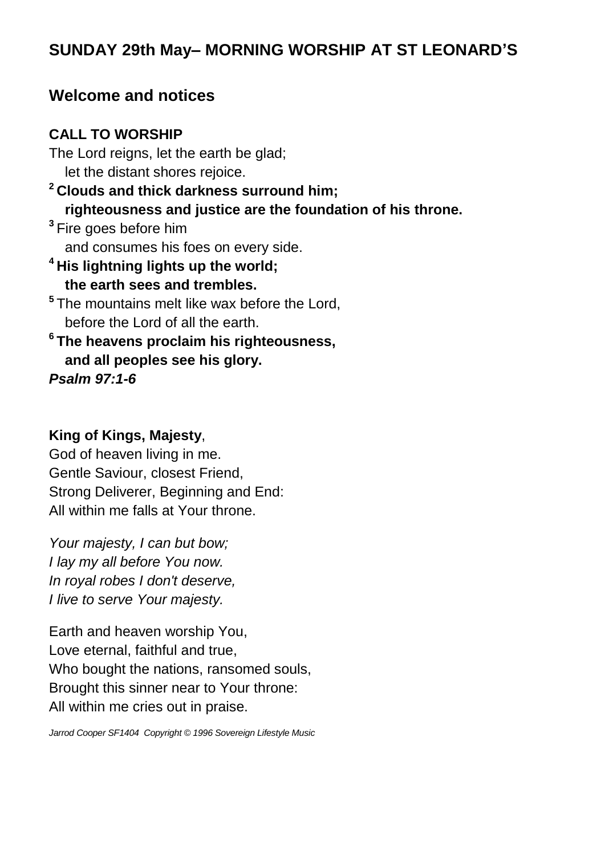# **SUNDAY 29th May– MORNING WORSHIP AT ST LEONARD'S**

### **Welcome and notices**

### **CALL TO WORSHIP**

The Lord reigns, let the earth be glad; let the distant shores rejoice. **<sup>2</sup> Clouds and thick darkness surround him; righteousness and justice are the foundation of his throne. 3** Fire goes before him and consumes his foes on every side. **<sup>4</sup> His lightning lights up the world; the earth sees and trembles. 5** The mountains melt like wax before the Lord, before the Lord of all the earth. **6 The heavens proclaim his righteousness, and all peoples see his glory.** *Psalm 97:1-6*

### **King of Kings, Majesty**,

God of heaven living in me. Gentle Saviour, closest Friend, Strong Deliverer, Beginning and End: All within me falls at Your throne.

*Your majesty, I can but bow; I lay my all before You now. In royal robes I don't deserve, I live to serve Your majesty.*

Earth and heaven worship You, Love eternal, faithful and true, Who bought the nations, ransomed souls, Brought this sinner near to Your throne: All within me cries out in praise.

*Jarrod Cooper SF1404 Copyright © 1996 Sovereign Lifestyle Music*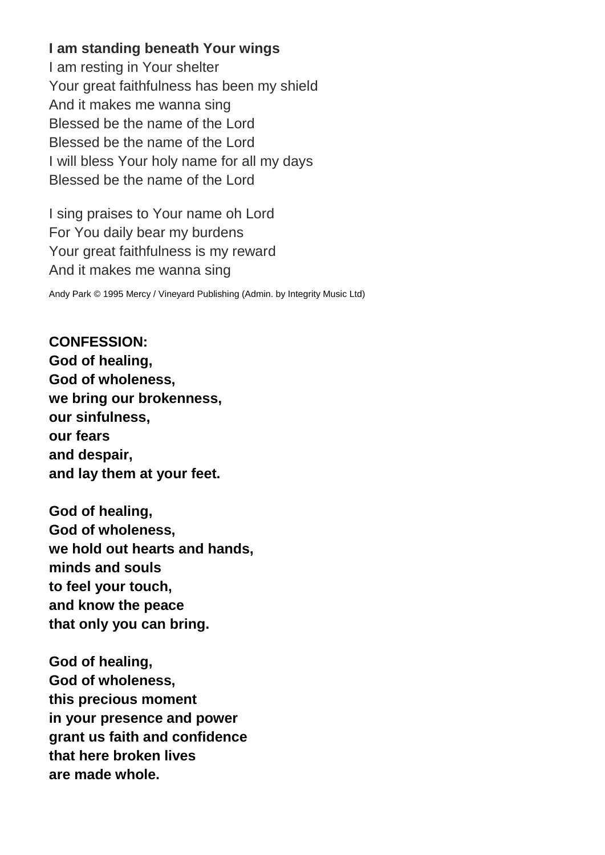### **I am standing beneath Your wings**

I am resting in Your shelter Your great faithfulness has been my shield And it makes me wanna sing Blessed be the name of the Lord Blessed be the name of the Lord I will bless Your holy name for all my days Blessed be the name of the Lord

I sing praises to Your name oh Lord For You daily bear my burdens Your great faithfulness is my reward And it makes me wanna sing

Andy Park © 1995 Mercy / Vineyard Publishing (Admin. by Integrity Music Ltd)

**CONFESSION: God of healing, God of wholeness, we bring our brokenness, our sinfulness, our fears and despair, and lay them at your feet.**

**God of healing, God of wholeness, we hold out hearts and hands, minds and souls to feel your touch, and know the peace that only you can bring.**

**God of healing, God of wholeness, this precious moment in your presence and power grant us faith and confidence that here broken lives are made whole.**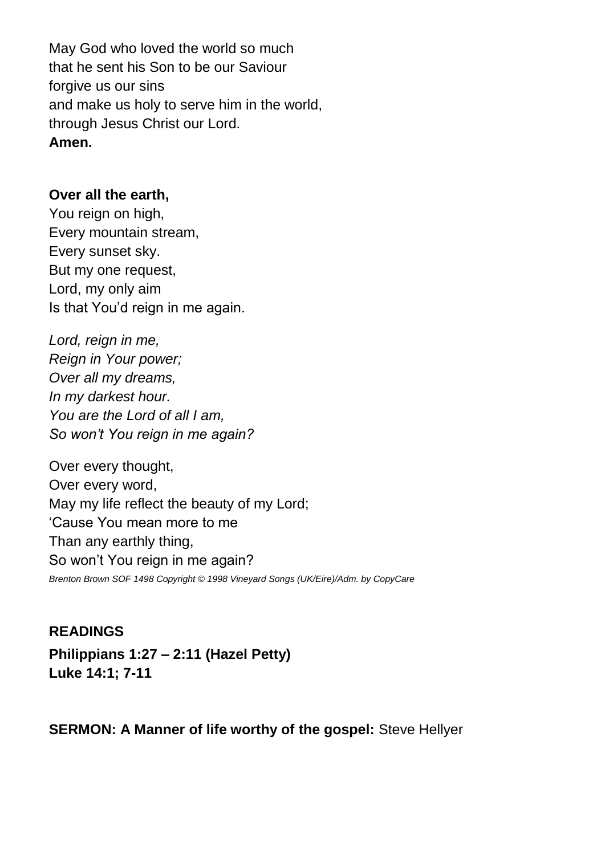May God who loved the world so much that he sent his Son to be our Saviour forgive us our sins and make us holy to serve him in the world, through Jesus Christ our Lord. **Amen.**

#### **Over all the earth,**

You reign on high, Every mountain stream, Every sunset sky. But my one request, Lord, my only aim Is that You'd reign in me again.

*Lord, reign in me, Reign in Your power; Over all my dreams, In my darkest hour. You are the Lord of all I am, So won't You reign in me again?*

Over every thought, Over every word, May my life reflect the beauty of my Lord; 'Cause You mean more to me Than any earthly thing, So won't You reign in me again? *Brenton Brown SOF 1498 Copyright © 1998 Vineyard Songs (UK/Eire)/Adm. by CopyCare*

## **READINGS Philippians 1:27 – 2:11 (Hazel Petty) Luke 14:1; 7-11**

### **SERMON: A Manner of life worthy of the gospel:** Steve Hellyer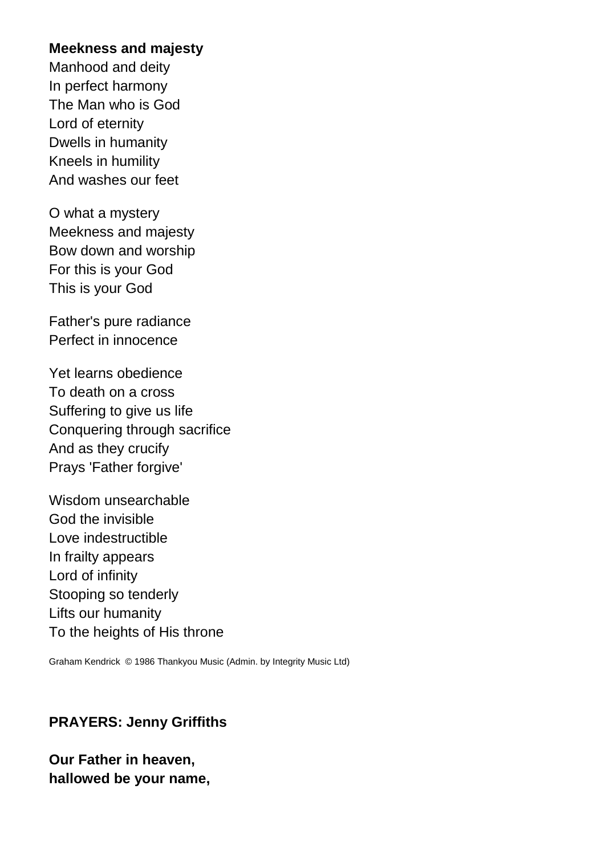#### **Meekness and majesty**

Manhood and deity In perfect harmony The Man who is God Lord of eternity Dwells in humanity Kneels in humility And washes our feet

O what a mystery Meekness and majesty Bow down and worship For this is your God This is your God

Father's pure radiance Perfect in innocence

Yet learns obedience To death on a cross Suffering to give us life Conquering through sacrifice And as they crucify Prays 'Father forgive'

Wisdom unsearchable God the invisible Love indestructible In frailty appears Lord of infinity Stooping so tenderly Lifts our humanity To the heights of His throne

Graham Kendrick © 1986 Thankyou Music (Admin. by Integrity Music Ltd)

### **PRAYERS: Jenny Griffiths**

### **Our Father in heaven, hallowed be your name,**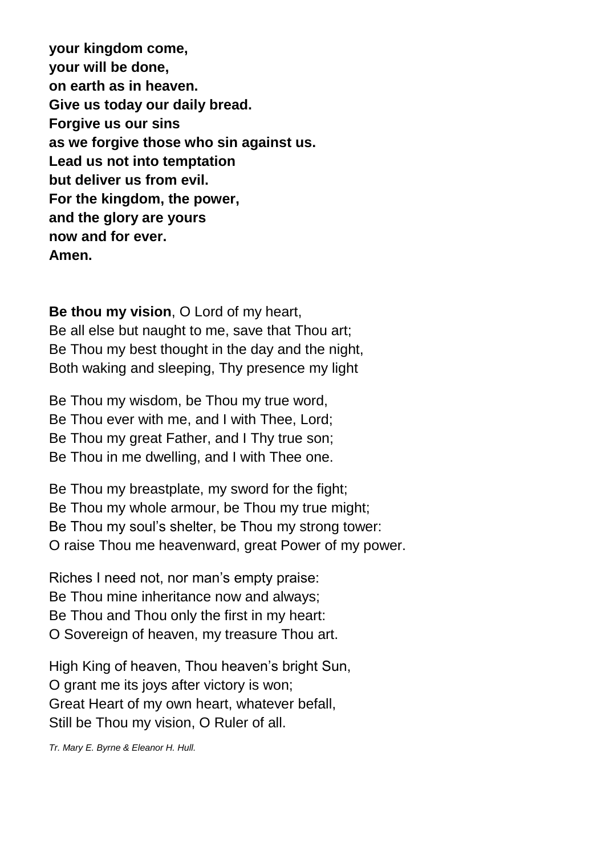**your kingdom come, your will be done, on earth as in heaven. Give us today our daily bread. Forgive us our sins as we forgive those who sin against us. Lead us not into temptation but deliver us from evil. For the kingdom, the power, and the glory are yours now and for ever. Amen.**

**Be thou my vision**, O Lord of my heart, Be all else but naught to me, save that Thou art; Be Thou my best thought in the day and the night, Both waking and sleeping, Thy presence my light

Be Thou my wisdom, be Thou my true word, Be Thou ever with me, and I with Thee, Lord; Be Thou my great Father, and I Thy true son; Be Thou in me dwelling, and I with Thee one.

Be Thou my breastplate, my sword for the fight; Be Thou my whole armour, be Thou my true might; Be Thou my soul's shelter, be Thou my strong tower: O raise Thou me heavenward, great Power of my power.

Riches I need not, nor man's empty praise: Be Thou mine inheritance now and always; Be Thou and Thou only the first in my heart: O Sovereign of heaven, my treasure Thou art.

High King of heaven, Thou heaven's bright Sun, O grant me its joys after victory is won; Great Heart of my own heart, whatever befall, Still be Thou my vision, O Ruler of all.

*Tr. Mary E. Byrne & Eleanor H. Hull.*